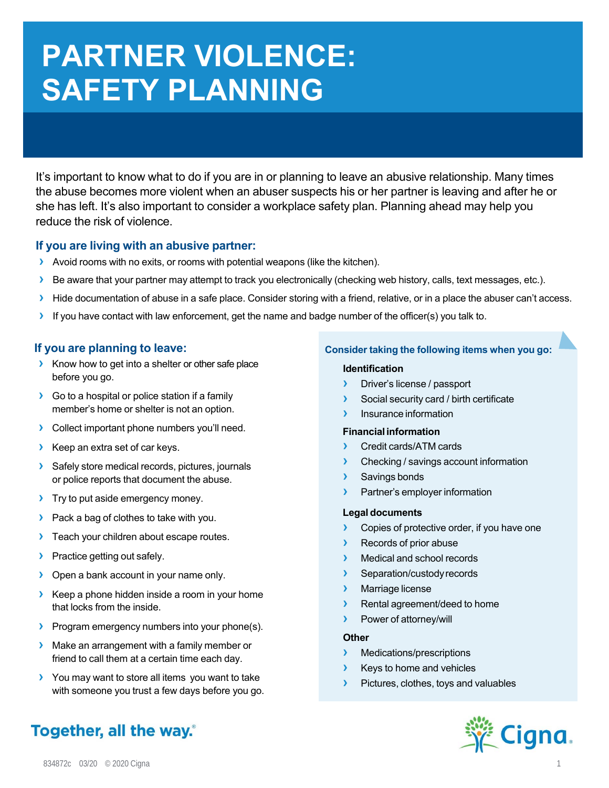# **PARTNER VIOLENCE: SAFETY PLANNING**

It's important to know what to do if you are in or planning to leave an abusive relationship. Many times the abuse becomes more violent when an abuser suspects his or her partner is leaving and after he or she has left. It's also important to consider a workplace safety plan. Planning ahead may help you reduce the risk of violence.

### **If you are living with an abusive partner:**

- **›** Avoid rooms with no exits, or rooms with potential weapons (like the kitchen).
- **›** Be aware that your partner may attempt to track you electronically (checking web history, calls, text messages, etc.).
- **›** Hide documentation of abuse in a safe place. Consider storing with a friend, relative, or in a place the abuser can't access.
- **›** If you have contact with law enforcement, get the name and badge number of the officer(s) you talk to.

# **If you are planning to leave:**

- **›** Know how to get into a shelter or other safe place before you go.
- **›** Go to a hospital or police station if a family member's home or shelter is not an option.
- **›** Collect important phone numbers you'll need.
- **›** Keep an extra set of car keys.
- **›** Safely store medical records, pictures, journals or police reports that document the abuse.
- **›** Try to put aside emergency money.
- **›** Pack a bag of clothes to take with you.
- **›** Teach your children about escape routes.
- **›** Practice getting out safely.
- **›** Open a bank account in your name only.
- **›** Keep a phone hidden inside a room in your home that locks from the inside.
- **›** Program emergency numbers into your phone(s).
- **›** Make an arrangement with a family member or friend to call them at a certain time each day.
- **›** You may want to store all items you want to take with someone you trust a few days before you go.

# Together, all the way.

#### **Consider taking the following items when you go:**

#### **Identification**

- **›** Driver's license / passport
- **›** Social security card / birth certificate
- **›** Insurance information

#### **Financial information**

- **›** Credit cards/ATM cards
- **›** Checking / savings account information
- **›** Savings bonds
- **›** Partner's employer information

#### **Legal documents**

- **›** Copies of protective order, if you have one
- **›** Records of prior abuse
- **›** Medical and school records
- **›** Separation/custody records
- **›** Marriage license
- **›** Rental agreement/deed to home
- **›** Power of attorney/will

#### **Other**

- **›** Medications/prescriptions
- **›** Keys to home and vehicles
- **›** Pictures, clothes, toys and valuables